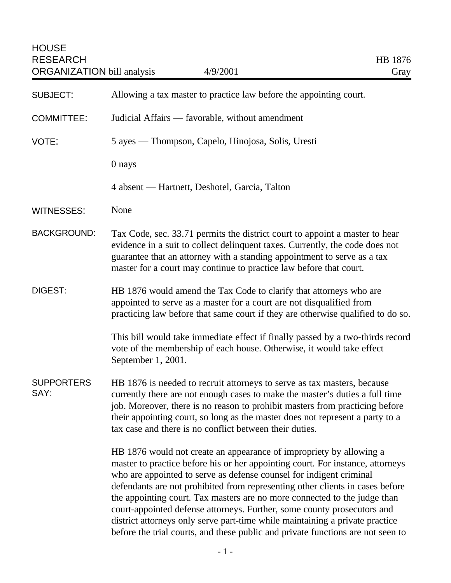| <b>SUBJECT:</b>           | Allowing a tax master to practice law before the appointing court.                                                                                                                                                                                                                                                                                                                                                                                                                                                                                                                                                                       |
|---------------------------|------------------------------------------------------------------------------------------------------------------------------------------------------------------------------------------------------------------------------------------------------------------------------------------------------------------------------------------------------------------------------------------------------------------------------------------------------------------------------------------------------------------------------------------------------------------------------------------------------------------------------------------|
| <b>COMMITTEE:</b>         | Judicial Affairs — favorable, without amendment                                                                                                                                                                                                                                                                                                                                                                                                                                                                                                                                                                                          |
| VOTE:                     | 5 ayes — Thompson, Capelo, Hinojosa, Solis, Uresti                                                                                                                                                                                                                                                                                                                                                                                                                                                                                                                                                                                       |
|                           | 0 nays                                                                                                                                                                                                                                                                                                                                                                                                                                                                                                                                                                                                                                   |
|                           | 4 absent — Hartnett, Deshotel, Garcia, Talton                                                                                                                                                                                                                                                                                                                                                                                                                                                                                                                                                                                            |
| <b>WITNESSES:</b>         | None                                                                                                                                                                                                                                                                                                                                                                                                                                                                                                                                                                                                                                     |
| <b>BACKGROUND:</b>        | Tax Code, sec. 33.71 permits the district court to appoint a master to hear<br>evidence in a suit to collect delinquent taxes. Currently, the code does not<br>guarantee that an attorney with a standing appointment to serve as a tax<br>master for a court may continue to practice law before that court.                                                                                                                                                                                                                                                                                                                            |
| <b>DIGEST:</b>            | HB 1876 would amend the Tax Code to clarify that attorneys who are<br>appointed to serve as a master for a court are not disqualified from<br>practicing law before that same court if they are otherwise qualified to do so.                                                                                                                                                                                                                                                                                                                                                                                                            |
|                           | This bill would take immediate effect if finally passed by a two-thirds record<br>vote of the membership of each house. Otherwise, it would take effect<br>September 1, 2001.                                                                                                                                                                                                                                                                                                                                                                                                                                                            |
| <b>SUPPORTERS</b><br>SAY: | HB 1876 is needed to recruit attorneys to serve as tax masters, because<br>currently there are not enough cases to make the master's duties a full time<br>job. Moreover, there is no reason to prohibit masters from practicing before<br>their appointing court, so long as the master does not represent a party to a<br>tax case and there is no conflict between their duties.                                                                                                                                                                                                                                                      |
|                           | HB 1876 would not create an appearance of impropriety by allowing a<br>master to practice before his or her appointing court. For instance, attorneys<br>who are appointed to serve as defense counsel for indigent criminal<br>defendants are not prohibited from representing other clients in cases before<br>the appointing court. Tax masters are no more connected to the judge than<br>court-appointed defense attorneys. Further, some county prosecutors and<br>district attorneys only serve part-time while maintaining a private practice<br>before the trial courts, and these public and private functions are not seen to |